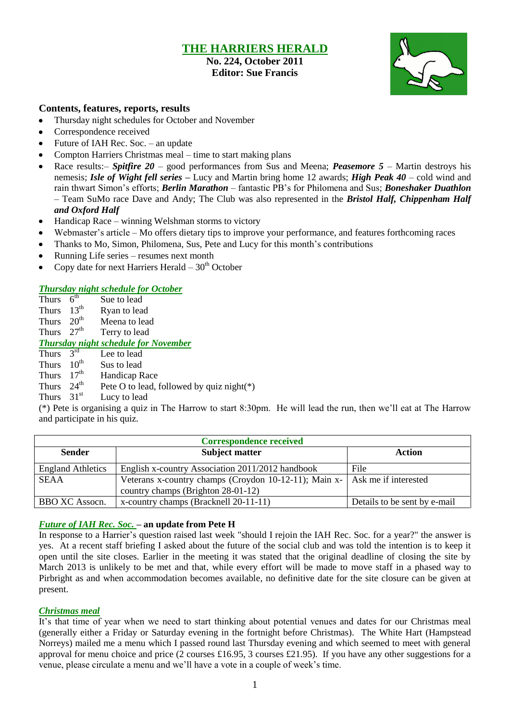### **THE HARRIERS HERALD**

**No. 224, October 2011 Editor: Sue Francis**



### **Contents, features, reports, results**

- Thursday night schedules for October and November  $\bullet$
- Correspondence received  $\bullet$
- $\bullet$ Future of IAH Rec. Soc. – an update
- Compton Harriers Christmas meal time to start making plans  $\bullet$
- Race results:– *Spitfire 20* good performances from Sus and Meena; *Peasemore 5 –* Martin destroys his nemesis; *Isle of Wight fell series –* Lucy and Martin bring home 12 awards; *High Peak 40* – cold wind and rain thwart Simon"s efforts; *Berlin Marathon* – fantastic PB"s for Philomena and Sus; *Boneshaker Duathlon* – Team SuMo race Dave and Andy; The Club was also represented in the *Bristol Half, Chippenham Half and Oxford Half*
- Handicap Race winning Welshman storms to victory
- Webmaster's article Mo offers dietary tips to improve your performance, and features forthcoming races
- Thanks to Mo, Simon, Philomena, Sus, Pete and Lucy for this month's contributions
- Running Life series resumes next month
- Copy date for next Harriers Herald  $-30<sup>th</sup>$  October

### *Thursday night schedule for October*

Thurs  $6<sup>th</sup>$ Sue to lead Thurs  $13^{th}$ <br>Thurs  $20^{th}$  Ryan to lead Meena to lead Thurs  $27<sup>th</sup>$  Terry to lead *Thursday night schedule for November* Thurs  $3<sup>rd</sup>$ Lee to lead Thurs  $10^{th}$  Sus to lead Thurs  $17<sup>th</sup>$  Handicap Race Thurs 24<sup>th</sup> Pete O to lead, followed by quiz night(\*) Thurs  $31<sup>st</sup>$  Lucy to lead

(\*) Pete is organising a quiz in The Harrow to start 8:30pm. He will lead the run, then we"ll eat at The Harrow and participate in his quiz.

| <b>Correspondence received</b> |                                                                              |                              |  |  |  |  |
|--------------------------------|------------------------------------------------------------------------------|------------------------------|--|--|--|--|
| <b>Sender</b>                  | <b>Subject matter</b>                                                        | Action                       |  |  |  |  |
| <b>England Athletics</b>       | English x-country Association 2011/2012 handbook                             | File                         |  |  |  |  |
| <b>SEAA</b>                    | Veterans x-country champs (Croydon 10-12-11); Main x-   Ask me if interested |                              |  |  |  |  |
|                                | country champs (Brighton 28-01-12)                                           |                              |  |  |  |  |
| <b>BBO XC Assocn.</b>          | x-country champs (Bracknell 20-11-11)                                        | Details to be sent by e-mail |  |  |  |  |

### *Future of IAH Rec. Soc.* **– an update from Pete H**

In response to a Harrier's question raised last week "should I rejoin the IAH Rec. Soc. for a year?" the answer is yes. At a recent staff briefing I asked about the future of the social club and was told the intention is to keep it open until the site closes. Earlier in the meeting it was stated that the original deadline of closing the site by March 2013 is unlikely to be met and that, while every effort will be made to move staff in a phased way to Pirbright as and when accommodation becomes available, no definitive date for the site closure can be given at present.

#### *Christmas meal*

It's that time of year when we need to start thinking about potential venues and dates for our Christmas meal (generally either a Friday or Saturday evening in the fortnight before Christmas). The White Hart (Hampstead Norreys) mailed me a menu which I passed round last Thursday evening and which seemed to meet with general approval for menu choice and price (2 courses £16.95, 3 courses £21.95). If you have any other suggestions for a venue, please circulate a menu and we"ll have a vote in a couple of week"s time.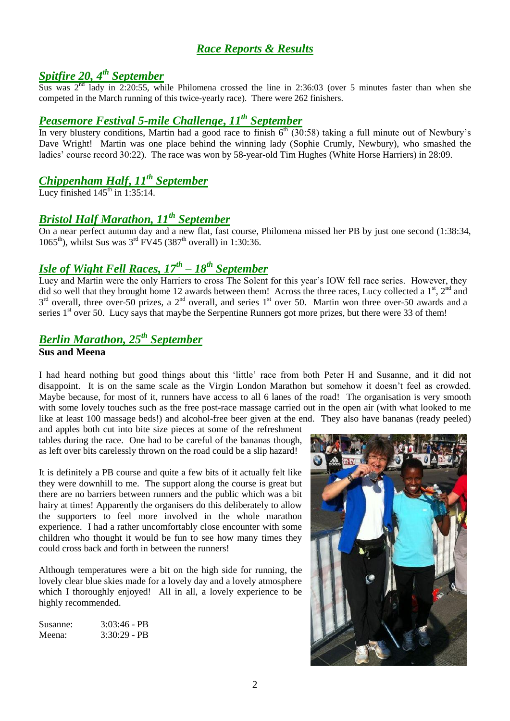## *Race Reports & Results*

# *Spitfire 20, 4th September*

Sus was  $2^{nd}$  lady in 2:20:55, while Philomena crossed the line in 2:36:03 (over 5 minutes faster than when she competed in the March running of this twice-yearly race). There were 262 finishers.

## *Peasemore Festival 5-mile Challenge***,** *11th September*

In very blustery conditions, Martin had a good race to finish  $6<sup>th</sup>$  (30:58) taking a full minute out of Newbury's Dave Wright! Martin was one place behind the winning lady (Sophie Crumly, Newbury), who smashed the ladies' course record 30:22). The race was won by 58-year-old Tim Hughes (White Horse Harriers) in 28:09.

# *Chippenham Half***,** *11th September*

Lucy finished  $145<sup>th</sup>$  in 1:35:14.

# *Bristol Half Marathon, 11th September*

On a near perfect autumn day and a new flat, fast course, Philomena missed her PB by just one second (1:38:34, 1065<sup>th</sup>), whilst Sus was  $3^{rd}$  FV45 (387<sup>th</sup> overall) in 1:30:36.

# *Isle of Wight Fell Races, 17th – 18th September*

Lucy and Martin were the only Harriers to cross The Solent for this year"s IOW fell race series. However, they did so well that they brought home 12 awards between them! Across the three races, Lucy collected a  $1<sup>st</sup>$ ,  $2<sup>nd</sup>$  and  $3<sup>rd</sup>$  overall, three over-50 prizes, a  $2<sup>nd</sup>$  overall, and series  $1<sup>st</sup>$  over 50. Martin won three over-50 awards and a series 1<sup>st</sup> over 50. Lucy says that maybe the Serpentine Runners got more prizes, but there were 33 of them!

# *Berlin Marathon, 25th September*

### **Sus and Meena**

I had heard nothing but good things about this "little" race from both Peter H and Susanne, and it did not disappoint. It is on the same scale as the Virgin London Marathon but somehow it doesn"t feel as crowded. Maybe because, for most of it, runners have access to all 6 lanes of the road! The organisation is very smooth with some lovely touches such as the free post-race massage carried out in the open air (with what looked to me like at least 100 massage beds!) and alcohol-free beer given at the end. They also have bananas (ready peeled)

and apples both cut into bite size pieces at some of the refreshment tables during the race. One had to be careful of the bananas though, as left over bits carelessly thrown on the road could be a slip hazard!

It is definitely a PB course and quite a few bits of it actually felt like they were downhill to me. The support along the course is great but there are no barriers between runners and the public which was a bit hairy at times! Apparently the organisers do this deliberately to allow the supporters to feel more involved in the whole marathon experience. I had a rather uncomfortably close encounter with some children who thought it would be fun to see how many times they could cross back and forth in between the runners!

Although temperatures were a bit on the high side for running, the lovely clear blue skies made for a lovely day and a lovely atmosphere which I thoroughly enjoyed! All in all, a lovely experience to be highly recommended.

Susanne: 3:03:46 - PB Meena: 3:30:29 - PB

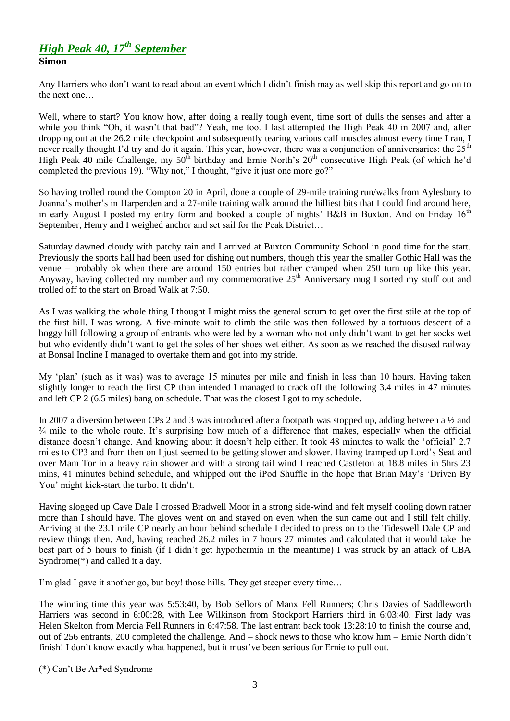### *High Peak 40, 17th September* **Simon**

Any Harriers who don"t want to read about an event which I didn"t finish may as well skip this report and go on to the next one…

Well, where to start? You know how, after doing a really tough event, time sort of dulls the senses and after a while you think "Oh, it wasn't that bad"? Yeah, me too. I last attempted the High Peak 40 in 2007 and, after dropping out at the 26.2 mile checkpoint and subsequently tearing various calf muscles almost every time I ran, I never really thought I'd try and do it again. This year, however, there was a conjunction of anniversaries: the  $25<sup>th</sup>$ High Peak 40 mile Challenge, my  $50^{th}$  birthday and Ernie North's  $20^{th}$  consecutive High Peak (of which he'd completed the previous 19). "Why not," I thought, "give it just one more go?"

So having trolled round the Compton 20 in April, done a couple of 29-mile training run/walks from Aylesbury to Joanna"s mother"s in Harpenden and a 27-mile training walk around the hilliest bits that I could find around here, in early August I posted my entry form and booked a couple of nights' B&B in Buxton. And on Friday  $16<sup>th</sup>$ September, Henry and I weighed anchor and set sail for the Peak District…

Saturday dawned cloudy with patchy rain and I arrived at Buxton Community School in good time for the start. Previously the sports hall had been used for dishing out numbers, though this year the smaller Gothic Hall was the venue – probably ok when there are around 150 entries but rather cramped when 250 turn up like this year. Anyway, having collected my number and my commemorative  $25<sup>th</sup>$  Anniversary mug I sorted my stuff out and trolled off to the start on Broad Walk at 7:50.

As I was walking the whole thing I thought I might miss the general scrum to get over the first stile at the top of the first hill. I was wrong. A five-minute wait to climb the stile was then followed by a tortuous descent of a boggy hill following a group of entrants who were led by a woman who not only didn"t want to get her socks wet but who evidently didn"t want to get the soles of her shoes wet either. As soon as we reached the disused railway at Bonsal Incline I managed to overtake them and got into my stride.

My "plan" (such as it was) was to average 15 minutes per mile and finish in less than 10 hours. Having taken slightly longer to reach the first CP than intended I managed to crack off the following 3.4 miles in 47 minutes and left CP 2 (6.5 miles) bang on schedule. That was the closest I got to my schedule.

In 2007 a diversion between CPs 2 and 3 was introduced after a footpath was stopped up, adding between a ½ and <sup>3/4</sup> mile to the whole route. It's surprising how much of a difference that makes, especially when the official distance doesn't change. And knowing about it doesn't help either. It took 48 minutes to walk the 'official' 2.7 miles to CP3 and from then on I just seemed to be getting slower and slower. Having tramped up Lord"s Seat and over Mam Tor in a heavy rain shower and with a strong tail wind I reached Castleton at 18.8 miles in 5hrs 23 mins, 41 minutes behind schedule, and whipped out the iPod Shuffle in the hope that Brian May"s "Driven By You" might kick-start the turbo. It didn"t.

Having slogged up Cave Dale I crossed Bradwell Moor in a strong side-wind and felt myself cooling down rather more than I should have. The gloves went on and stayed on even when the sun came out and I still felt chilly. Arriving at the 23.1 mile CP nearly an hour behind schedule I decided to press on to the Tideswell Dale CP and review things then. And, having reached 26.2 miles in 7 hours 27 minutes and calculated that it would take the best part of 5 hours to finish (if I didn"t get hypothermia in the meantime) I was struck by an attack of CBA Syndrome(\*) and called it a day.

I'm glad I gave it another go, but boy! those hills. They get steeper every time...

The winning time this year was 5:53:40, by Bob Sellors of Manx Fell Runners; Chris Davies of Saddleworth Harriers was second in 6:00:28, with Lee Wilkinson from Stockport Harriers third in 6:03:40. First lady was Helen Skelton from Mercia Fell Runners in 6:47:58. The last entrant back took 13:28:10 to finish the course and, out of 256 entrants, 200 completed the challenge. And – shock news to those who know him – Ernie North didn"t finish! I don't know exactly what happened, but it must've been serious for Ernie to pull out.

(\*) Can"t Be Ar\*ed Syndrome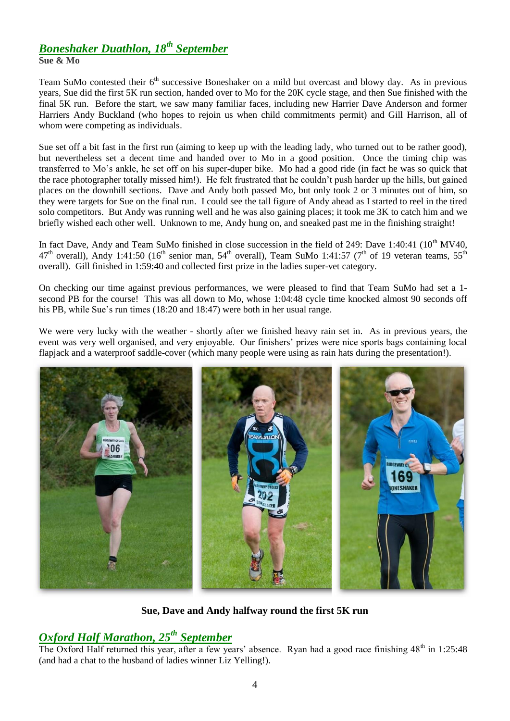# *Boneshaker Duathlon, 18th September*

**Sue & Mo**

Team SuMo contested their 6<sup>th</sup> successive Boneshaker on a mild but overcast and blowy day. As in previous years, Sue did the first 5K run section, handed over to Mo for the 20K cycle stage, and then Sue finished with the final 5K run. Before the start, we saw many familiar faces, including new Harrier Dave Anderson and former Harriers Andy Buckland (who hopes to rejoin us when child commitments permit) and Gill Harrison, all of whom were competing as individuals.

Sue set off a bit fast in the first run (aiming to keep up with the leading lady, who turned out to be rather good), but nevertheless set a decent time and handed over to Mo in a good position. Once the timing chip was transferred to Mo"s ankle, he set off on his super-duper bike. Mo had a good ride (in fact he was so quick that the race photographer totally missed him!). He felt frustrated that he couldn"t push harder up the hills, but gained places on the downhill sections. Dave and Andy both passed Mo, but only took 2 or 3 minutes out of him, so they were targets for Sue on the final run. I could see the tall figure of Andy ahead as I started to reel in the tired solo competitors. But Andy was running well and he was also gaining places; it took me 3K to catch him and we briefly wished each other well. Unknown to me, Andy hung on, and sneaked past me in the finishing straight!

In fact Dave, Andy and Team SuMo finished in close succession in the field of 249: Dave 1:40:41 ( $10^{th}$  MV40, 47<sup>th</sup> overall), Andy 1:41:50 (16<sup>th</sup> senior man, 54<sup>th</sup> overall), Team SuMo 1:41:57 (7<sup>th</sup> of 19 veteran teams, 55<sup>th</sup> overall). Gill finished in 1:59:40 and collected first prize in the ladies super-vet category.

On checking our time against previous performances, we were pleased to find that Team SuMo had set a 1 second PB for the course! This was all down to Mo, whose 1:04:48 cycle time knocked almost 90 seconds off his PB, while Sue's run times (18:20 and 18:47) were both in her usual range.

We were very lucky with the weather - shortly after we finished heavy rain set in. As in previous years, the event was very well organised, and very enjoyable. Our finishers" prizes were nice sports bags containing local flapjack and a waterproof saddle-cover (which many people were using as rain hats during the presentation!).



**Sue, Dave and Andy halfway round the first 5K run**

# *Oxford Half Marathon, 25th September*

The Oxford Half returned this year, after a few years' absence. Ryan had a good race finishing  $48<sup>th</sup>$  in 1:25:48 (and had a chat to the husband of ladies winner Liz Yelling!).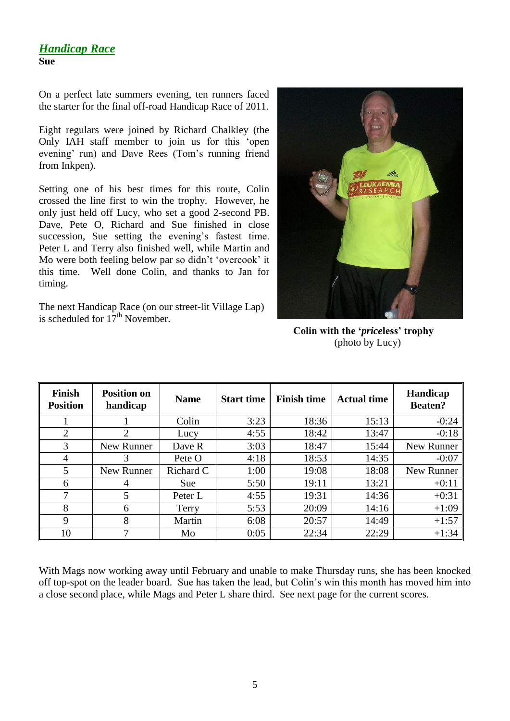### *Handicap Race* **Sue**

On a perfect late summers evening, ten runners faced the starter for the final off-road Handicap Race of 2011.

Eight regulars were joined by Richard Chalkley (the Only IAH staff member to join us for this "open evening' run) and Dave Rees (Tom's running friend from Inkpen).

Setting one of his best times for this route, Colin crossed the line first to win the trophy. However, he only just held off Lucy, who set a good 2-second PB. Dave, Pete O, Richard and Sue finished in close succession, Sue setting the evening's fastest time. Peter L and Terry also finished well, while Martin and Mo were both feeling below par so didn"t "overcook" it this time. Well done Colin, and thanks to Jan for timing.

The next Handicap Race (on our street-lit Village Lap) is scheduled for  $17<sup>th</sup>$  November.



 **Colin with the '***price***less' trophy** (photo by Lucy)

| <b>Finish</b><br><b>Position</b> | <b>Position on</b><br>handicap | <b>Name</b> | <b>Start time</b> | <b>Finish time</b> | <b>Actual time</b> | Handicap<br><b>Beaten?</b> |  |
|----------------------------------|--------------------------------|-------------|-------------------|--------------------|--------------------|----------------------------|--|
|                                  |                                | Colin       | 3:23              | 18:36              | 15:13              | $-0:24$                    |  |
| 2                                | $\mathcal{D}_{\mathcal{L}}$    | Lucy        | 4:55              | 18:42              | 13:47              | $-0:18$                    |  |
| 3                                | New Runner                     | Dave R      | 3:03              | 18:47              | 15:44              | New Runner                 |  |
| 4                                | 3                              | Pete O      | 4:18              | 18:53              | 14:35              | $-0:07$                    |  |
| 5                                | New Runner                     | Richard C   | 1:00              | 19:08              | 18:08              | New Runner                 |  |
| 6                                | 4                              | Sue         | 5:50              | 19:11              | 13:21              | $+0:11$                    |  |
| 7                                | 5                              | Peter L     | 4:55              | 19:31              | 14:36              | $+0:31$                    |  |
| 8                                | 6                              | Terry       | 5:53              | 20:09              | 14:16              | $+1:09$                    |  |
| 9                                | 8                              | Martin      | 6:08              | 20:57              | 14:49              | $+1:57$                    |  |
| 10                               |                                | Mo          | 0:05              | 22:34              | 22:29              | $+1:34$                    |  |

With Mags now working away until February and unable to make Thursday runs, she has been knocked off top-spot on the leader board. Sue has taken the lead, but Colin"s win this month has moved him into a close second place, while Mags and Peter L share third. See next page for the current scores.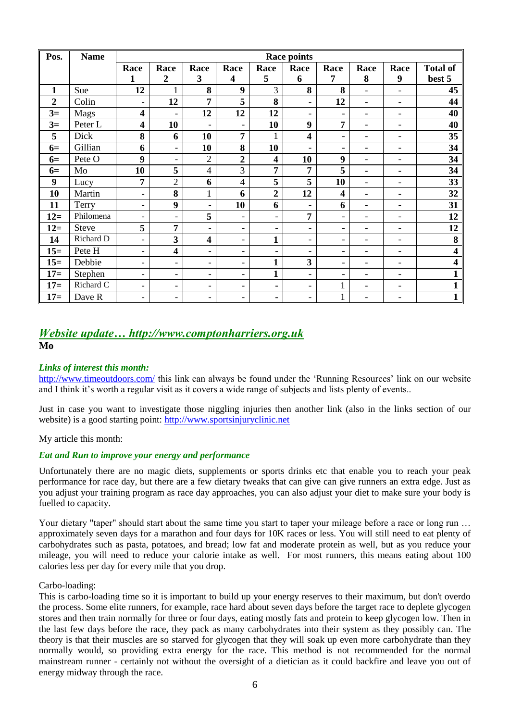| Pos.           | <b>Name</b>  | <b>Race points</b>       |                          |                          |                          |                          |                              |                          |                              |                              |                         |
|----------------|--------------|--------------------------|--------------------------|--------------------------|--------------------------|--------------------------|------------------------------|--------------------------|------------------------------|------------------------------|-------------------------|
|                |              | Race                     | Race                     | Race                     | Race                     | Race                     | Race                         | Race                     | Race                         | Race                         | <b>Total of</b>         |
|                |              | $\mathbf{1}$             | $\overline{2}$           | 3                        | $\overline{\mathbf{4}}$  | 5                        | 6                            | 7                        | 8                            | 9                            | best 5                  |
| $\mathbf{1}$   | Sue          | 12                       | $\mathbf{1}$             | 8                        | 9                        | 3                        | 8                            | 8                        | $\blacksquare$               | $\overline{\phantom{0}}$     | 45                      |
| $\overline{2}$ | Colin        | $\overline{\phantom{a}}$ | 12                       | $\overline{7}$           | 5                        | 8                        | $\overline{\phantom{0}}$     | 12                       | $\blacksquare$               | ۰                            | 44                      |
| $3=$           | Mags         | $\overline{\mathbf{4}}$  | $\overline{\phantom{a}}$ | 12                       | 12                       | 12                       | ۰                            | $\overline{\phantom{a}}$ | $\overline{\phantom{a}}$     | $\overline{\phantom{0}}$     | 40                      |
| $3=$           | Peter L      | $\overline{\mathbf{4}}$  | 10                       | $\overline{\phantom{a}}$ | $\qquad \qquad -$        | 10                       | 9                            | $\overline{7}$           | $\overline{a}$               | $\overline{\phantom{a}}$     | 40                      |
| 5              | Dick         | 8                        | 6                        | 10                       | 7                        | $\mathbf{1}$             | $\overline{\mathbf{4}}$      | $\overline{\phantom{a}}$ | $\overline{\phantom{0}}$     | ۰                            | 35                      |
| $6=$           | Gillian      | 6                        | $\overline{\phantom{a}}$ | 10                       | 8                        | 10                       | $\overline{\phantom{0}}$     | $\overline{\phantom{a}}$ | $\overline{\phantom{a}}$     | $\qquad \qquad \blacksquare$ | 34                      |
| $6=$           | Pete O       | 9                        | $\blacksquare$           | $\mathbf{2}$             | $\overline{2}$           | $\overline{\mathbf{4}}$  | 10                           | 9                        | ۰                            | $\qquad \qquad \blacksquare$ | 34                      |
| $6=$           | Mo           | 10                       | 5                        | $\overline{4}$           | 3                        | $\overline{7}$           | 7                            | 5                        |                              | ۰                            | 34                      |
| 9              | Lucy         | $\overline{7}$           | $\overline{2}$           | 6                        | $\overline{4}$           | 5                        | 5                            | 10                       | $\blacksquare$               | $\qquad \qquad \blacksquare$ | 33                      |
| 10             | Martin       | $\overline{\phantom{a}}$ | 8                        | $\mathbf{1}$             | 6                        | $\overline{2}$           | 12                           | 4                        | $\overline{\phantom{0}}$     | $\qquad \qquad \blacksquare$ | 32                      |
| 11             | Terry        | $\overline{\phantom{a}}$ | 9                        | $\overline{\phantom{a}}$ | 10                       | 6                        | $\overline{\phantom{0}}$     | 6                        |                              | ۰                            | 31                      |
| $12=$          | Philomena    | $\overline{\phantom{a}}$ | $\overline{\phantom{a}}$ | 5                        | $\overline{\phantom{0}}$ | $\overline{\phantom{0}}$ | 7                            | $\overline{\phantom{a}}$ | $\overline{\phantom{0}}$     | ٠                            | 12                      |
| $12=$          | <b>Steve</b> | 5                        | 7                        | $\overline{\phantom{a}}$ | -                        | $\overline{\phantom{a}}$ | $\overline{\phantom{0}}$     | $\overline{\phantom{a}}$ | $\overline{\phantom{a}}$     | $\qquad \qquad \blacksquare$ | 12                      |
| 14             | Richard D    | $\overline{\phantom{a}}$ | 3                        | $\overline{\mathbf{4}}$  | $\overline{\phantom{0}}$ | $\mathbf{1}$             | $\overline{\phantom{0}}$     | $\overline{\phantom{a}}$ | $\overline{\phantom{a}}$     | $\qquad \qquad \blacksquare$ | 8                       |
| $15=$          | Pete H       | $\overline{\phantom{a}}$ | $\overline{\mathbf{4}}$  | $\overline{\phantom{a}}$ | $\overline{\phantom{0}}$ | $\overline{\phantom{a}}$ | $\overline{\phantom{0}}$     | $\overline{\phantom{a}}$ | $\qquad \qquad \blacksquare$ | ٠                            | $\overline{\mathbf{4}}$ |
| $15=$          | Debbie       | $\overline{\phantom{a}}$ | $\blacksquare$           | $\overline{\phantom{a}}$ | $\overline{\phantom{0}}$ | $\mathbf{1}$             | 3                            | $\overline{\phantom{a}}$ | $\overline{\phantom{0}}$     | ۰                            | 4                       |
| $17=$          | Stephen      | $\overline{\phantom{a}}$ | $\overline{\phantom{a}}$ | $\overline{\phantom{a}}$ | -                        | $\mathbf{1}$             | $\overline{\phantom{0}}$     | $\overline{\phantom{a}}$ | $\overline{\phantom{0}}$     | $\qquad \qquad \blacksquare$ |                         |
| $17=$          | Richard C    | $\overline{\phantom{a}}$ | $\overline{\phantom{0}}$ | $\overline{\phantom{a}}$ | $\overline{\phantom{0}}$ | ۰                        | $\qquad \qquad \blacksquare$ | 1                        | $\overline{\phantom{0}}$     |                              |                         |
| $17=$          | Dave R       | $\overline{\phantom{a}}$ | $\overline{\phantom{0}}$ | $\overline{\phantom{a}}$ | -                        | ٠                        | -                            | $\mathbf{1}$             |                              |                              |                         |

### *Website update… http://www.comptonharriers.org.uk* **Mo**

#### *Links of interest this month:*

[http://www.timeoutdoors.com/](http://www.runnersworld.co.uk/n172/news-complete) this link can always be found under the 'Running Resources' link on our website and I think it's worth a regular visit as it covers a wide range of subjects and lists plenty of events..

Just in case you want to investigate those niggling injuries then another link (also in the links section of our website) is a good starting point: [http://www.sportsinjuryclinic.net](http://www.sportsinjuryclinic.net/)

#### My article this month:

### *Eat and Run to improve your energy and performance*

Unfortunately there are no magic diets, supplements or sports drinks etc that enable you to reach your peak performance for race day, but there are a few dietary tweaks that can give can give runners an extra edge. Just as you adjust your training program as race day approaches, you can also adjust your diet to make sure your body is fuelled to capacity.

Your dietary "taper" should start about the same time you start to taper your mileage before a race or long run ... approximately seven days for a marathon and four days for 10K races or less. You will still need to eat plenty of carbohydrates such as pasta, potatoes, and bread; low fat and moderate protein as well, but as you reduce your mileage, you will need to reduce your calorie intake as well. For most runners, this means eating about 100 calories less per day for every mile that you drop.

#### Carbo-loading:

This is carbo-loading time so it is important to build up your energy reserves to their maximum, but don't overdo the process. Some elite runners, for example, race hard about seven days before the target race to deplete glycogen stores and then train normally for three or four days, eating mostly fats and protein to keep glycogen low. Then in the last few days before the race, they pack as many carbohydrates into their system as they possibly can. The theory is that their muscles are so starved for glycogen that they will soak up even more carbohydrate than they normally would, so providing extra energy for the race. This method is not recommended for the normal mainstream runner - certainly not without the oversight of a dietician as it could backfire and leave you out of energy midway through the race.